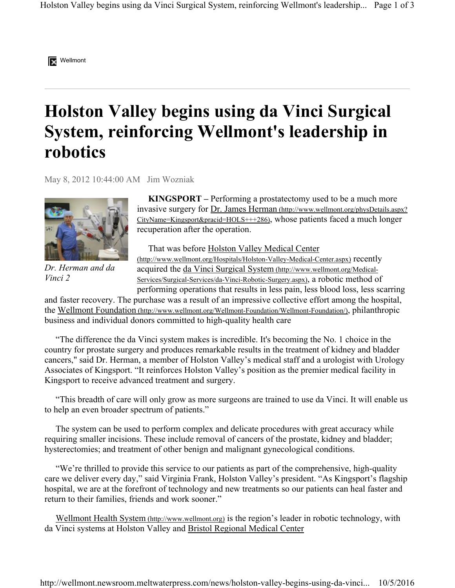

## **Holston Valley begins using da Vinci Surgical System, reinforcing Wellmont's leadership in robotics**

May 8, 2012 10:44:00 AM Jim Wozniak



*Dr. Herman and da Vinci 2*

 **KINGSPORT –** Performing a prostatectomy used to be a much more invasive surgery for Dr. James Herman (http://www.wellmont.org/physDetails.aspx? CityName=Kingsport&pracid=HOLS+++286), whose patients faced a much longer recuperation after the operation.

That was before Holston Valley Medical Center (http://www.wellmont.org/Hospitals/Holston-Valley-Medical-Center.aspx) recently acquired the da Vinci Surgical System (http://www.wellmont.org/Medical-Services/Surgical-Services/da-Vinci-Robotic-Surgery.aspx), a robotic method of performing operations that results in less pain, less blood loss, less scarring

and faster recovery. The purchase was a result of an impressive collective effort among the hospital, the Wellmont Foundation (http://www.wellmont.org/Wellmont-Foundation/Wellmont-Foundation/), philanthropic business and individual donors committed to high-quality health care

 "The difference the da Vinci system makes is incredible. It's becoming the No. 1 choice in the country for prostate surgery and produces remarkable results in the treatment of kidney and bladder cancers," said Dr. Herman, a member of Holston Valley's medical staff and a urologist with Urology Associates of Kingsport. "It reinforces Holston Valley's position as the premier medical facility in Kingsport to receive advanced treatment and surgery.

 "This breadth of care will only grow as more surgeons are trained to use da Vinci. It will enable us to help an even broader spectrum of patients."

 The system can be used to perform complex and delicate procedures with great accuracy while requiring smaller incisions. These include removal of cancers of the prostate, kidney and bladder; hysterectomies; and treatment of other benign and malignant gynecological conditions.

 "We're thrilled to provide this service to our patients as part of the comprehensive, high-quality care we deliver every day," said Virginia Frank, Holston Valley's president. "As Kingsport's flagship hospital, we are at the forefront of technology and new treatments so our patients can heal faster and return to their families, friends and work sooner."

Wellmont Health System (http://www.wellmont.org) is the region's leader in robotic technology, with da Vinci systems at Holston Valley and Bristol Regional Medical Center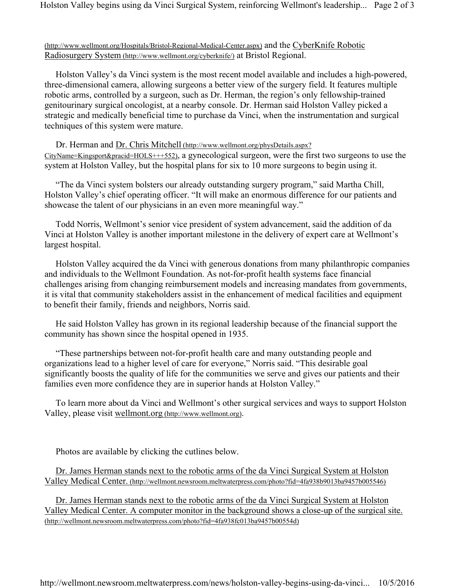## (http://www.wellmont.org/Hospitals/Bristol-Regional-Medical-Center.aspx) and the CyberKnife Robotic Radiosurgery System (http://www.wellmont.org/cyberknife/) at Bristol Regional.

 Holston Valley's da Vinci system is the most recent model available and includes a high-powered, three-dimensional camera, allowing surgeons a better view of the surgery field. It features multiple robotic arms, controlled by a surgeon, such as Dr. Herman, the region's only fellowship-trained genitourinary surgical oncologist, at a nearby console. Dr. Herman said Holston Valley picked a strategic and medically beneficial time to purchase da Vinci, when the instrumentation and surgical techniques of this system were mature.

 Dr. Herman and Dr. Chris Mitchell (http://www.wellmont.org/physDetails.aspx? CityName=Kingsport&pracid=HOLS+++552), a gynecological surgeon, were the first two surgeons to use the system at Holston Valley, but the hospital plans for six to 10 more surgeons to begin using it.

 "The da Vinci system bolsters our already outstanding surgery program," said Martha Chill, Holston Valley's chief operating officer. "It will make an enormous difference for our patients and showcase the talent of our physicians in an even more meaningful way."

 Todd Norris, Wellmont's senior vice president of system advancement, said the addition of da Vinci at Holston Valley is another important milestone in the delivery of expert care at Wellmont's largest hospital.

 Holston Valley acquired the da Vinci with generous donations from many philanthropic companies and individuals to the Wellmont Foundation. As not-for-profit health systems face financial challenges arising from changing reimbursement models and increasing mandates from governments, it is vital that community stakeholders assist in the enhancement of medical facilities and equipment to benefit their family, friends and neighbors, Norris said.

 He said Holston Valley has grown in its regional leadership because of the financial support the community has shown since the hospital opened in 1935.

 "These partnerships between not-for-profit health care and many outstanding people and organizations lead to a higher level of care for everyone," Norris said. "This desirable goal significantly boosts the quality of life for the communities we serve and gives our patients and their families even more confidence they are in superior hands at Holston Valley."

 To learn more about da Vinci and Wellmont's other surgical services and ways to support Holston Valley, please visit wellmont.org (http://www.wellmont.org).

Photos are available by clicking the cutlines below.

 Dr. James Herman stands next to the robotic arms of the da Vinci Surgical System at Holston Valley Medical Center. (http://wellmont.newsroom.meltwaterpress.com/photo?fid=4fa938b9013ba9457b005546)

 Dr. James Herman stands next to the robotic arms of the da Vinci Surgical System at Holston Valley Medical Center. A computer monitor in the background shows a close-up of the surgical site. (http://wellmont.newsroom.meltwaterpress.com/photo?fid=4fa938fc013ba9457b00554d)